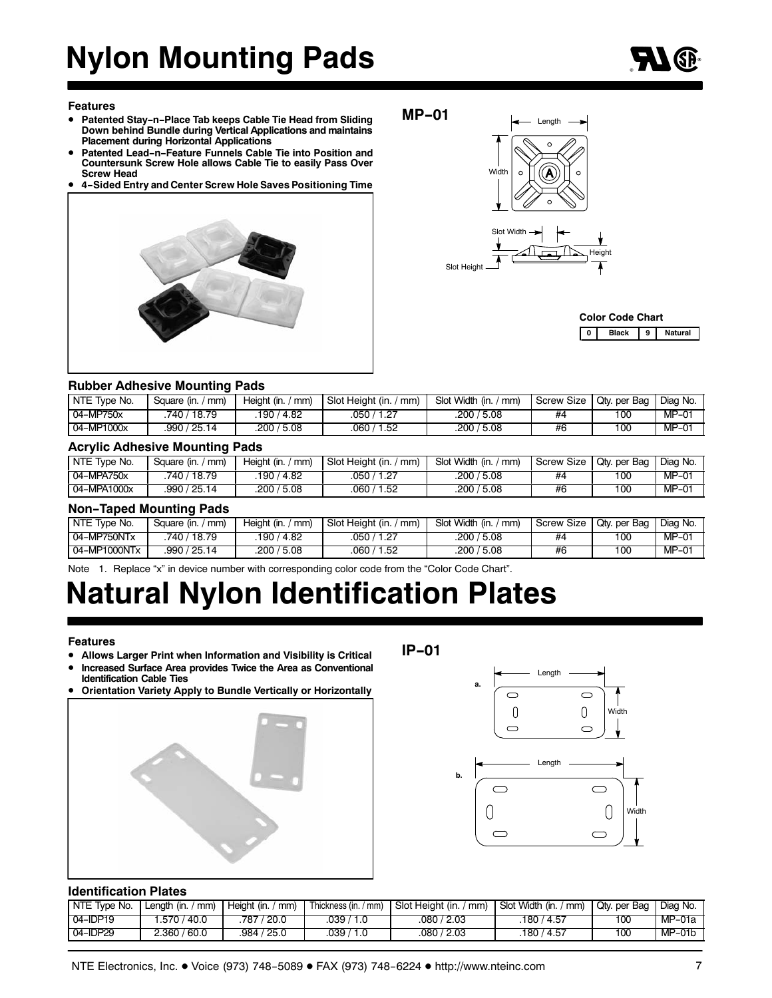# **Nylon Mounting Pads**

### **Features**

- **Patented Stay-n-Place Tab keeps Cable Tie Head from Sliding Down behind Bundle during Vertical Applications and maintains Placement during Horizontal Applications**
- **Patented Lead-n-Feature Funnels Cable Tie into Position and Countersunk Screw Hole allows Cable Tie to easily Pass Over Screw Head**
- **4-Sided Entry and Center Screw Hole Saves Positioning Time**



**MP-01**



|  | <b>Color Code Chart</b> |   |         |
|--|-------------------------|---|---------|
|  | <b>Rlack</b>            | 9 | Jatural |

### **Rubber Adhesive Mounting Pads**

| NTE Type No. | Square (in. /<br>mm) | Height (in.<br>mm) | Slot Height (in.<br>mm) | Slot Width (in.<br>mm | <b>Screw Size</b> | Qty. per Bag | Diag No. |
|--------------|----------------------|--------------------|-------------------------|-----------------------|-------------------|--------------|----------|
| 04-MP750x    | 18.79<br>740.        | 190 / 4.82         | 1.27<br>050/            | 5.08 /<br>200/        | #4                | 100          | $MP-01$  |
| 04-MP1000x   | 25.14<br>990         | .200 / 5.08        | 1.52<br>060.            | '5.08<br>، 200        | #6                | 100          | $MP-01$  |

### **Acrylic Adhesive Mounting Pads**

| NTE Type No. | Square (in. /<br>mm) | Heiaht (in.<br>mm) | Slot Height (in.<br>' mm) | Slot Width (in. /<br>$\pmb{\pmod{m}}$ | <b>Screw Size</b> | Qty. per Bag | Diag No. |
|--------------|----------------------|--------------------|---------------------------|---------------------------------------|-------------------|--------------|----------|
| 04-MPA750x   | 18.79<br>740 /       | /4.82<br>190 /     | $-1.27$<br>.050 /         | 5.08<br>.200 /                        | #4                | 100          | MP-01    |
| 04-MPA1000x  | .990 / 25.14         | .200 / 5.08        | 1.52<br>060/              | .200 /<br>5.08                        | #6                | 100          | MP-01    |

### **Non-Taped Mounting Pads**

| NTE Type No. | mm)<br>Square (in. / | Height (in. / mm) | Slot Height (in.<br>$'$ mm) | Slot Width (in.,<br>$\langle$ mm) | Screw Size | Qty. per Bag | Diag No. |
|--------------|----------------------|-------------------|-----------------------------|-----------------------------------|------------|--------------|----------|
| 04-MP750NTx  | 740 / 18.79          | 190 / 4.82        | 1.27<br>.050 /              | .200 / 5.08                       | #4         | 100          | $MP-01$  |
| 04-MP1000NTx | .990 / 25.14         | .200 / 5.08       | .060 /<br>1.52              | .200 / 5.08                       | #6         | 100          | $MP-01$  |

Note 1. Replace "x" in device number with corresponding color code from the "Color Code Chart".

## **Natural Nylon Identification Plates**

### **Features**

- **Allows Larger Print when Information and Visibility is Critical**
- **Increased Surface Area provides Twice the Area as Conventional Identification Cable Ties**
- **Orientation Variety Apply to Bundle Vertically or Horizontally**



**IP-01**



### **Identification Plates**

| NTE Type No. | $/$ mm)<br>Length (in. / | Height (in.<br>mm) | Thickness (in. / mm) | Slot Height (in. /<br>mm) | Slot Width (in. /<br>mm) | Qtv. per Bag | Diag No. |
|--------------|--------------------------|--------------------|----------------------|---------------------------|--------------------------|--------------|----------|
| $04$ -IDP19  | .570 /<br>40.0 ⁄         | 787 / 20.0         | 039                  | 080/2.03                  | 180 / 4.57               | 100          | $MP-01a$ |
| $04$ -IDP29  | ، 360.<br>/ 60.0         | .984 / 25.0        | 039                  | .080 / 2.03               | .180 / 4.57              | 100          | MP-01b   |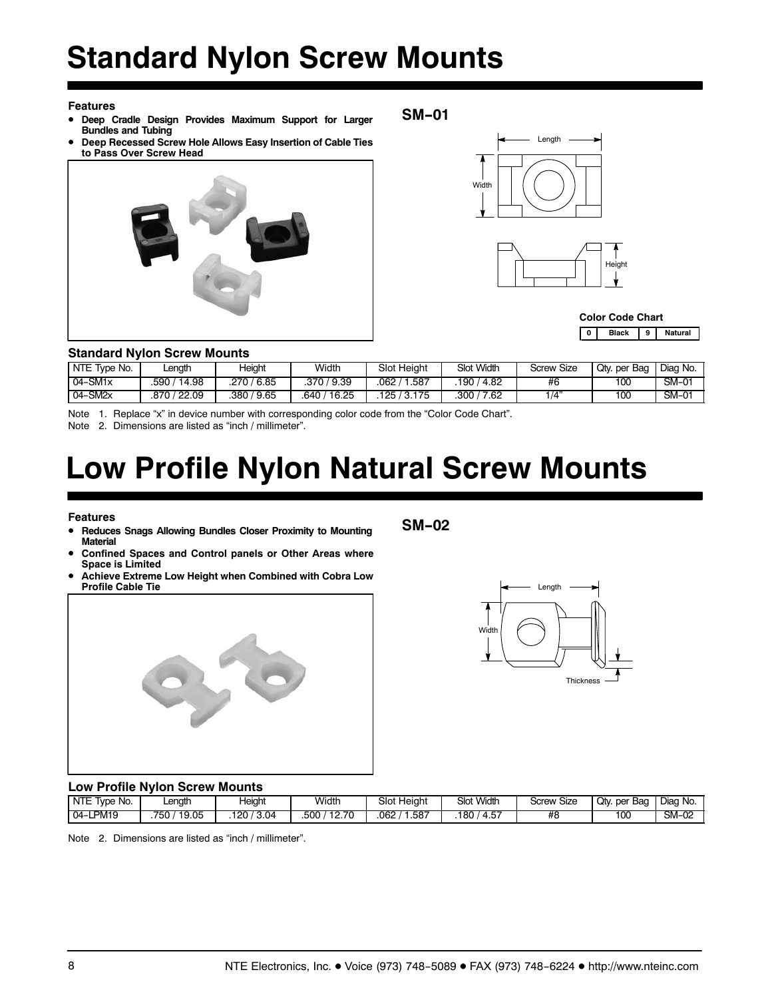# **Standard Nylon Screw Mounts**

### **Features**

- **Deep Cradle Design Provides Maximum Support for Larger Bundles and Tubing**
- **Deep Recessed Screw Hole Allows Easy Insertion of Cable Ties to Pass Over Screw Head**



**SM-01**



|  | <b>Color Code Chart</b> |   |         |
|--|-------------------------|---|---------|
|  | <b>Black</b>            | 9 | Jatural |

### **Standard Nylon Screw Mounts**

| NTE Type No. | ∟enath        | Height         | Width           | Slot Height    | <b>Slot Width</b> | Screw Size | Qty. per Bag | Diag No. |
|--------------|---------------|----------------|-----------------|----------------|-------------------|------------|--------------|----------|
| $04-SM1x$    | 14.98<br>.590 | / 6.85<br>.270 | '9.39<br>.370 / | 1.587<br>062.  | 4.82<br>190       | #6         | 100          | SM-01    |
| $04-SM2x$    | 22.09<br>.870 | / 9.65<br>.380 | 16.25<br>640    | 3.175<br>125 / | 300<br>7.62       | 14"        | 100          | SM-01    |

Note 1. Replace "x" in device number with corresponding color code from the "Color Code Chart".

Note 2. Dimensions are listed as "inch / millimeter".

# **Low Profile Nylon Natural Screw Mounts**

**Features**

- **Reduces Snags Allowing Bundles Closer Proximity to Mounting Material**
- **Confined Spaces and Control panels or Other Areas where Space is Limited**
- **Achieve Extreme Low Height when Combined with Cobra Low Profile Cable Tie**



**SM-02**



### **Low Profile Nylon Screw Mounts**

| <b>NTE</b><br>$\overline{\phantom{a}}$<br>NO.<br><b>I</b> vpe | ∟enath                                          | Heiaht<br>$\cdot$ | Width                           | Slot Height | <b>Slot Width</b>             | $\overline{\phantom{a}}$<br>Screw<br>Size | Qtv.<br>Bac<br>per | Diag<br>No.                  |
|---------------------------------------------------------------|-------------------------------------------------|-------------------|---------------------------------|-------------|-------------------------------|-------------------------------------------|--------------------|------------------------------|
| <b>PM19</b><br>$04-$                                          | 750<br>$\sqrt{2}$<br>$\overline{a}$<br><br>ອ.ບບ | 120<br>3.04       | 12.70<br>500<br><u>.</u><br>. . | .587<br>062 | --<br>180<br><b>.</b><br>4.5. | #8                                        | $\overline{00}$    | $\overline{ }$<br>SM-<br>שי- |

Note 2. Dimensions are listed as "inch / millimeter".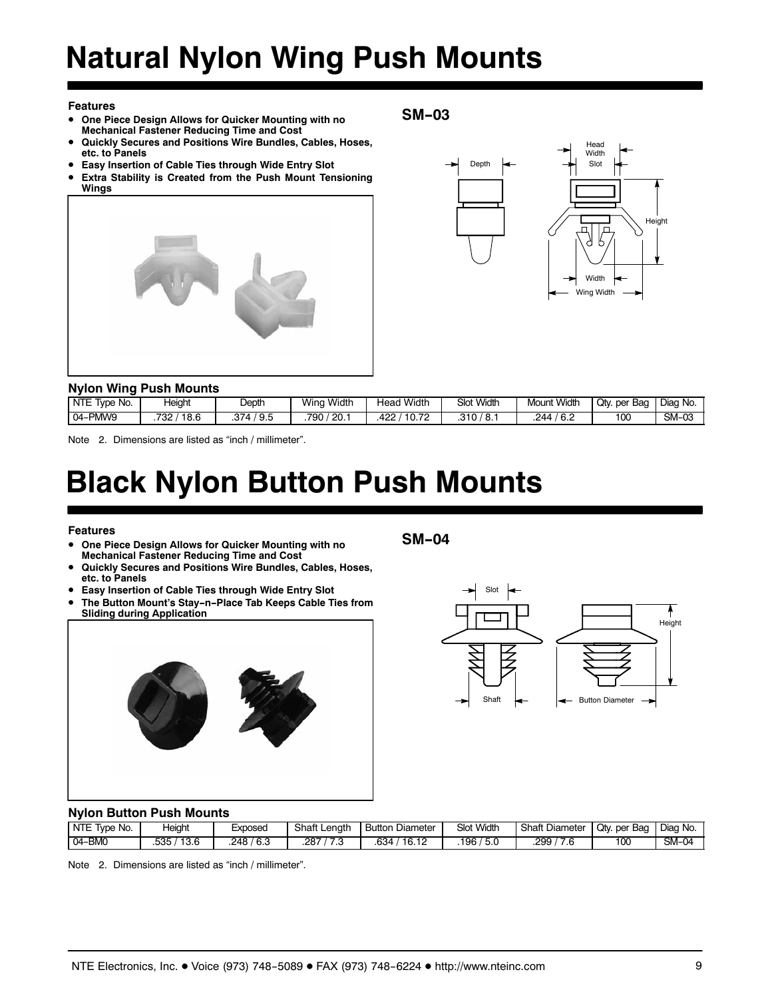# **Natural Nylon Wing Push Mounts**

### **Features**

- **One Piece Design Allows for Quicker Mounting with no Mechanical Fastener Reducing Time and Cost**
- **Quickly Secures and Positions Wire Bundles, Cables, Hoses, etc. to Panels**
- **Easy Insertion of Cable Ties through Wide Entry Slot**
- **Extra Stability is Created from the Push Mount Tensioning Wings**





### **Nylon Wing Push Mounts**

| .<br>-------------- |               |              |               |                      |                   |                       |                 |          |  |
|---------------------|---------------|--------------|---------------|----------------------|-------------------|-----------------------|-----------------|----------|--|
| NTE<br>Tvpe No.     | leight        | $\rho$ epth  | Width<br>Wina | <b>Width</b><br>Head | <b>Slot Width</b> | <b>Width</b><br>Mount | Qtv.<br>per Bag | Diag No. |  |
| PMW9<br>$04 -$      | 732 ,<br>18.6 | .374<br>`9.5 | ' 20.<br>790  | 422<br>10.72         | .310<br>່ 8.      | .244<br>0.∠           | 100             | $SM-0.5$ |  |

Note 2. Dimensions are listed as "inch / millimeter".

## **Black Nylon Button Push Mounts**

### **Features**

- **One Piece Design Allows for Quicker Mounting with no Mechanical Fastener Reducing Time and Cost**
- **Quickly Secures and Positions Wire Bundles, Cables, Hoses, etc. to Panels**
- **Easy Insertion of Cable Ties through Wide Entry Slot**
- **The Button Mount's Stay-n-Place Tab Keeps Cable Ties from Sliding during Application**



**SM-04**

**SM-03**



### **Nylon Button Push Mounts**

| NTE<br>No.<br><b>Ivpe</b> | leight       | Exposed       | Shaft Length | Diameter<br>Button | <b>Slot Width</b> | <b>Shaft Diameter</b>            | Qty.per<br>Bag | Diag No. |
|---------------------------|--------------|---------------|--------------|--------------------|-------------------|----------------------------------|----------------|----------|
| 04-BM0                    | 13.6<br>.535 | / 6.3<br>248. | 287<br>ں ،   | 16.12<br>.634      | 5.0<br>196        | .299<br>$\overline{\phantom{a}}$ | 100            | $SM-04$  |

Note 2. Dimensions are listed as "inch / millimeter".